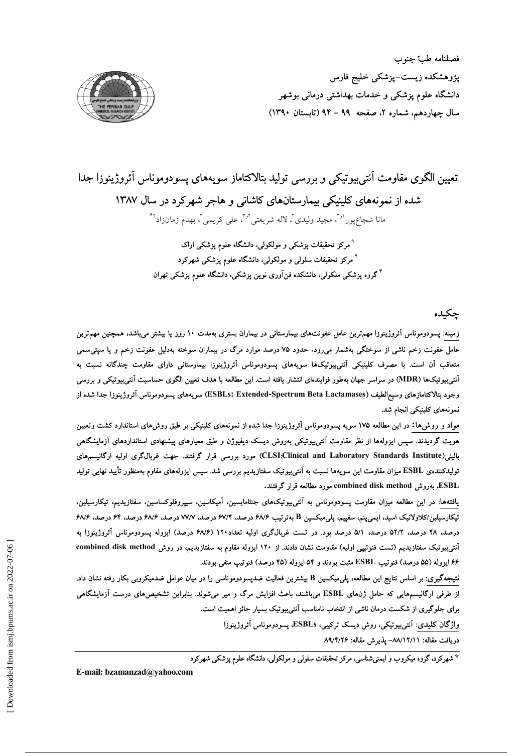

# تعیین الگوی مقاومت اَنتی بیوتیکی و بررسی تولید بتالاکتاماز سویههای پسودوموناس آئروژینوزا جدا شده از نمونههای کلینیکی بیمارستانهای کاشانی و هاجر شهر کرد در سال ۱۳۸۷

مانا شجاعپور<sup>او٢</sup>، مجيد وليدي٢، لاله شريعتي™، على كريمي٢. بهنام زمانزاد™

<sup>۱</sup> مرکز تحقیقات پزشک<sub>ی</sub> و مولکولی، دانشگاه علوم پزشکی اراک <sup>۲</sup> مرکز تحقیقات سلول<sub>ی</sub> و مولکولی، دانشگاه علوم پزشکی شهرکرد <sup>۳</sup>گروه پزشکی ملکولی، دانشکده فنآوری نوین پزشکی، دانشگاه علوم پزشکی تهران

حكىدە

زمینه: پسودوموناس آئروژینوزا مهمترین عامل عفونتهای بیمارستانی در بیماران بستری بهمدت ۱۰ روز یا بیشتر میباشد، همچنین مهمترین عامل عفونت زخم ناشی از سوختگی بهشمار میرود. حدود ۷۵ درصد موارد مرگ در بیماران سوخته بهدلیل عفونت زخم و یا سپتی سمی متعاقب آن است. با مصرف کلینیکی آنتی،بیوتیکها سویههای پسودوموناس آئروژینوزا بیمارستانی دارای مقاومت چندگانه نسبت به آنتیبیوتیکها (MDR) در سراسر جهان بهطور فزایندهای انتشار یافته است. این مطالعه با هدف تعیین الگوی حساسیت آنتیبیوتیکی و بررسی وجود بتالاكتامازهای وسیع|لطیف (ESBLs: Extended-Spectrum Beta Lactamases) سویههای پسودوموناس آئروژینوزا جدا شده از نمونههای کلینیکی انجام شد.

مواد و روش۵ها: در این مطالعه ۱۷۵ سویه پسودوموناس آئروژینوزا جدا شده از نمونههای کلینیکی بر طبق روشهای استاندارد کشت وتعیین هویت گردیدند. سپس ایزولهها از نظر مقاومت آنتی,بیوتیکی بهروش دیسک دیفیوژن و طبق معیارهای پیشنهادی استانداردهای آزمایشگاهی بالینی(CLSI:Clinical and Laboratory Standards Institute) مورد بررسی قرار گرفتند. جهت غربال گری اولیه ارگانیسمهای تولیدکنندهی ESBL میزان مقاومت این سویهها نسبت به اَنتی بیوتیک سفتازیدیم بررسی شد. سپس ایزولههای مقاوم بهمنظور تأیید نهایی تولید ESBL، بەروش combined disk method، مورد مطالعه قرار گرفتند.

یافتهها: در این مطالعه میزان مقاومت پسودوموناس به آنتی بیوتیکهای جنتامایسین، آمیکاسین، سیپروفلوکساسین، سفتازیدیم، تیکارسیلین، تیکارسیلین/کلاولانیک اسید، ایمی پنم، سفپیم، پلی میکسین B بهترتیب ۶۸/۶ درصد، ۶۷/۴ درصد، ۷۷/۷ درصد، ۶۸/۶ درصد، ۶۸/۶ درصد، ۴۸ درصد، ۵۲/۲ درصد، ۵/۱ درصد بود. در تست غربالگری اولیه تعداد۱۲۰ (۶۸/۶ درصد) ایزوله پسودوموناس آئروژینوزا به آنتی،بیوتیک سفتازیدیم (تست فنوتیپی اولیه) مقاومت نشان دادند. از ۱۲۰ ایزوله مقاوم به سفتازیدیم، در روش combined disk method ۶۶ ایزوله (۵۵ درصد) فنوتیپ ESBL مثبت بودند و ۵۴ ایزوله (۴۵ درصد) فنوتیپ منفی بودند.

نتیجهگیری: بر اساس نتایج این مطالعه، پلی.میکسین B بیشترین فعالیت ضدپسودوموناسی را در میان عوامل ضدمیکروبی بکار رفته نشان داد. از طرفی ارگانیسمهایی که حامل ژنهای ESBL میباشند، باعث افزایش مرگ و میر میشوند. بنابراین تشخیصهای درست آزمایشگاهی برای جلوگیری از شکست درمان ناشی از انتخاب نامناسب آنتی بیوتیک بسیار حائز اهمیت است.

واژگان کلیدی: آنتی بیوتیکی، روش دیسک ترکیبی، ESBLs، پسودوموناس آئروژینوزا

دريافت مقاله: ٨٩/١٢/١١- يذيرش مقاله: ٨٩/٣/٢۶

\* شهرکرد، گروه میکروب و ایمنی شناسی، مرکز تحقیقات سلولی و مولکولی، دانشگاه علوم پزشکی شهرکرد

E-mail: bzamanzad@vahoo.com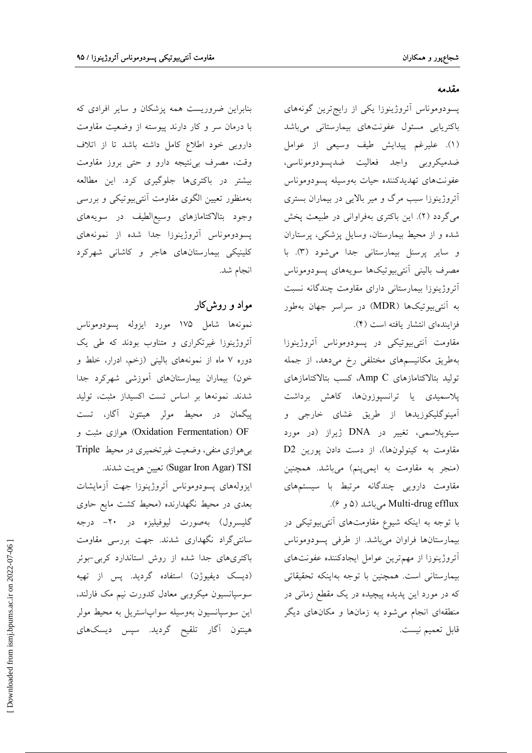بنابراین ضروریست همه پزشکان و سایر افرادی که با درمان سر و کار دارند پیوسته از وضعیت مقاومت دارویی خود اطلاع کامل داشته باشد تا از اتلاف وقت، مصرف بي نتيجه دارو و حتى بروز مقاومت بیشتر در باکتریها جلوگیری کرد. این مطالعه بهمنظور تعیین الگوی مقاومت آنتیبیوتیکی و بررسی وجود بتالاكتامازهاى وسيع|لطيف در سويههاى پسودوموناس آئروژينوزا جدا شده از نمونههاي کلینیکی بیمارستانهای هاجر و کاشانی شهرکرد انجام شد.

## مواد و روشکار

نمونهها شامل ١٧۵ مورد ايزوله پسودوموناس آئروژینوزا غیرتکراری و متناوب بودند که طی یک دوره ۷ ماه از نمونههای بالینی (زخم، ادرار، خلط و خون) بیماران بیمارستانهای آموزشی شهرکرد جدا شدند. نمونهها بر اساس تست اکسیداز مثبت، تولید پیگمان در محیط مولر هینتون آگار، تست Oxidation Fermentation) OF) هوازی مثبت و بی هوازی منفی، وضعیت غیرتخمیری در محیط Triple Sugar Iron Agar) تعيين هويت شدند.

ايزولههاى يسودوموناس أئروژينوزا جهت أزمايشات بعدی در محیط نگهدارنده (محیط کشت مایع حاوی گلیسرول) بهصورت لیوفیلیزه در ۲۰– درجه سانتیگراد نگهداری شدند. جهت بررسی مقاومت باکتریهای جدا شده از روش استاندارد کربی-بوئر (دیسک دیفیوژن) استفاده گردید. پس از تهیه سوسپانسیون میکروبی معادل کدورت نیم مک فارلند، اين سوسپانسيون بهوسيله سواپاستريل به محيط مولر هینتون آگار تلقیح گردید. سپس دیسکهای

#### مقدمه

پسودوموناس أئروژينوزا يكى از رايجترين گونههاى باكتريايى مسئول عفونتهاى بيمارستانى مىباشد (١). عليرغم پيدايش طيف وسيعي از عوامل ضدميكروبي واجد فعاليت ضديسودوموناسي، عفونتهاى تهديدكننده حيات بهوسيله يسودوموناس آئروژینوزا سبب مرگ و میر بالایی در بیماران بستری می گردد (۲). این باکتری بهفراوانی در طبیعت پخش شده و از محیط بیمارستان، وسایل پزشکی، پرستاران و سایر پرسنل بیمارستانی جدا میشود (۳). با مصرف بالينى آنتىبيوتيكها سويههاى پسودوموناس أئروژينوزا بيمارستاني داراي مقاومت چندگانه نسبت به آنتی بیوتیکها (MDR) در سراسر جهان بهطور فزايندهاي انتشار يافته است (۴).

مقاومت آنتی،بیوتیکی در پسودوموناس آئروژینوزا بهطریق مکانیسمهای مختلفی رخ میدهد، از جمله توليد بتالاكتامازهاى Amp C، كسب بتالاكتامازهاى پلاسمیدی یا ترانسپوزونها، کاهش برداشت آمینوگلیکوزیدها از طریق غشای خارجی و سیتوپلاسمی، تغییر در DNA ژیراز (در مورد مقاومت به کینولونها)، از دست دادن پورین D2 (منجر به مقاومت به ایمیپنم) میباشد. همچنین مقاومت دارویی چندگانه مرتبط با سیستمهای Multi-drug efflux میباشد (۵ و ۶).

با توجه به اینکه شیوع مقاومتهای آنتیبیوتیکی در بیمارستانها فراوان میباشد. از طرفی پسودوموناس آئروژینوزا از مهمترین عوامل ایجادکننده عفونتهای بیمارستانی است. همچنین با توجه بهاینکه تحقیقاتی که در مورد این پدیده پیچیده در یک مقطع زمانی در منطقهای انجام می شود به زمانها و مکانهای دیگر قابل تعميم نيست.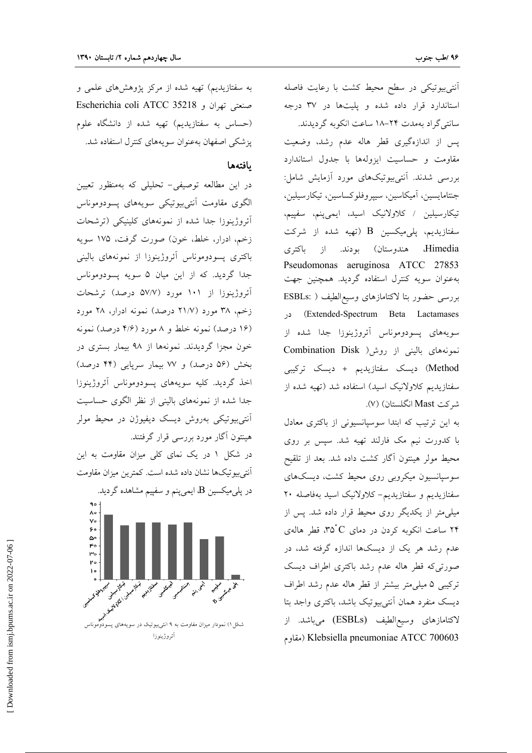أنتي بيوتيكي در سطح محيط كشت با رعايت فاصله استاندارد قرار داده شده و یلیتها در ۳۷ درجه سانتی گراد بهمدت ۲۴–۱۸ ساعت انکوبه گردیدند. پس از اندازهگیری قطر هاله عدم رشد، وضعیت مقاومت وحساسيت ايزولهها با جدول استاندارد بررسی شدند. آنتیبیوتیکهای مورد آزمایش شامل: جنتامايسين، آميكاسين، سيپروفلوكساسين، تيكارسيلين، تیکارسیلین / کلاولانیک اسید، ایمیپنم، سفپیم، سفتازیدیم، پلیمیکسین  $\, {\bf B} \,$  (تهیه شده از شرکت هندوستان) بودند. از باکتری Himedia Pseudomonas aeruginosa ATCC 27853 بهعنوان سویه کنترل استفاده گردید. همچنین جهت بررسی حضور بتا لاکتامازهای وسیع|لطیف ( :ESBLs Extended-Spectrum Beta Lactamases) در سويههاي پسودوموناس آئروژينوزا جدا شده از نمونههای بالینی از روش( Combination Disk Method) دیسک سفتازیدیم + دیسک ترکیبی سفتازیدیم کلاولانیک اسید) استفاده شد (تهیه شده از شر کت Mast انگلستان) (۷).

به این ترتیب که ابتدا سوسپانسیونی از باکتری معادل با کدورت نیم مک فارلند تهیه شد. سپس بر روی محیط مولر هینتون آگار کشت داده شد. بعد از تلقیح سوسیانسیون میکروبی روی محیط کشت، دیسکهای سفتازیدیم و سفتازیدیم- کلاولانیک اسید بهفاصله ۲۰ میلیٖمتر از یکدیگر روی محیط قرار داده شد. پس از ۲۴ ساعت انکوبه کردن در دمای ۳۵°C، قطر هالهی عدم رشد هر یک از دیسکها اندازه گرفته شد، در صورتیکه قطر هاله عدم رشد باکتری اطراف دیسک ترکیبی ۵ میلی متر بیشتر از قطر هاله عدم رشد اطراف دیسک منفرد همان آنتیبیوتیک باشد، باکتری واجد بتا لاكتامازهاى وسيع|لطيف (ESBLs) مىباشد. از مقاوم) Klebsiella pneumoniae ATCC 700603

به سفتازیدیم) تهیه شده از مرکز پژوهشهای علمی و صنعتی تھران و Escherichia coli ATCC 35218 (حساس به سفتازیدیم) تهیه شده از دانشگاه علوم یزشکی اصفهان بهعنوان سویههای کنترل استفاده شد.

#### بافتهها

در این مطالعه توصیفی– تحلیلی که بهمنظور تعیین الگوی مقاومت آنتیبیوتیکی سویههای پسودوموناس آئروژینوزا جدا شده از نمونههای کلینیکی (ترشحات زخم، ادرار، خلط، خون) صورت گرفت، ۱۷۵ سویه باکتری پسودوموناس آئروژینوزا از نمونههای بالینی جدا گردید. که از این میان ۵ سویه پسودوموناس آئروژینوزا از ۱۰۱ مورد (۵۷/۷ درصد) ترشحات زخم، ۳۸ مورد (۲۱/۷ درصد) نمونه ادرار، ۲۸ مورد (۱۶ درصد) نمونه خلط و ۸ مورد (۴/۶ درصد) نمونه خون مجزا گردیدند. نمونهها از ۹۸ بیمار بستری در بخش (۵۶ درصد) و ۷۷ بیمار سرپایی (۴۴ درصد) اخذ گردید. کلیه سویههای پسودوموناس آئروژینوزا جدا شده از نمونههای بالینی از نظر الگوی حساسیت آنت<u>ی بیوتی</u>کی بهروش دیسک دیفیوژن در محیط مولر هینتون آگار مورد بررسی قرار گرفتند.

در شکل ۱ در یک نمای کلی میزان مقاومت به این آنتي بيوتيكها نشان داده شده است. كمترين ميزان مقاومت در پل<sub>ی</sub>میکسین B، ایمیپنم و سفپیم مشاهده گردید.

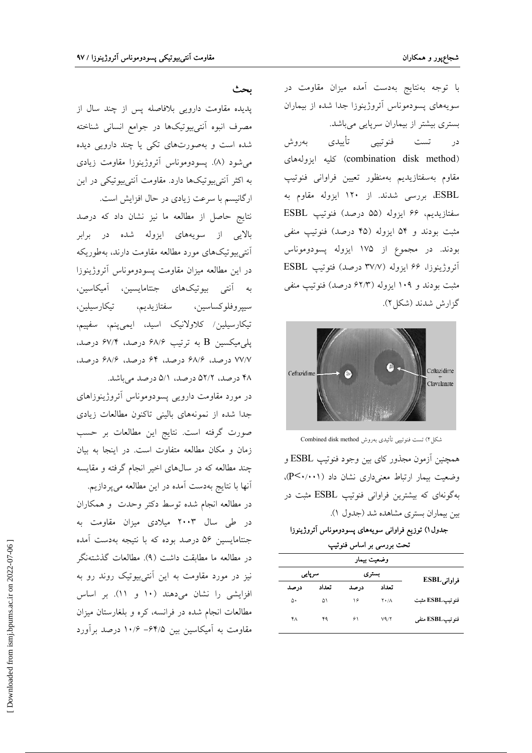با توجه بهنتایج بهدست آمده میزان مقاومت در سویههای پسودموناس آئروژینوزا جدا شده از بیماران بستری بیشتر از بیماران سرپایی میباشد.

تست فنوتيپ*ي* تأييدى بەروش در (combination disk method) كليه ايزولههاى مقاوم بهسفتازيديم بهمنظور تعيين فراوانى فنوتيپ ESBL، بررسی شدند. از ۱۲۰ ایزوله مقاوم به سفتازيديم، ۶۶ ايزوله (۵۵ درصد) فنوتيپ ESBL مثبت بودند و ۵۴ ایزوله (۴۵ درصد) فنوتیپ منفی بودند. در مجموع از ۱۷۵ ایزوله پسودوموناس آئروژينوزا، ۶۶ ايزوله (۳۷/۷ درصد) فتوتيپ ESBL مثبت بودند و ۱۰۹ ایزوله (۶۲/۳ درصد) فنوتیپ منفی گزارش شدند (شكل ۲).



شکل۲) تست فنوتیپی تأئیدی بهروش Combined disk method همچنین اَزمون مجذور کای بین وجود فنوتیپ ESBL و وضعیت بیمار ارتباط معنیداری نشان داد (۲۰۰۱-). بهگونهای که بیشترین فراوانی فنوتیپ ESBL مثبت در بین بیماران بستری مشاهده شد (جدول ۱).

### جدول۱) توزیع فراوانی سویههای پسودوموناس أثروژینوزا

تحت بررسی بر اساس فنوتیپ

| وضعيت بيمار     |                     |       |        |       |
|-----------------|---------------------|-------|--------|-------|
| فراوانی ESBL    | بسترى               |       | سرپایی |       |
|                 | تعداد               | در صد | تعداد  | در صد |
| فنوتيپESBL مثبت | $Y \cdot / \Lambda$ | ۱۶    | ۵۱     | ۵۰    |
| فنوتيبESBL منفى | V4/Y                | ۶۱    | ۴۹     | ۴۸    |

بحث

پدیده مقاومت دارویی بلافاصله پس از چند سال از مصرف انبوه آنتىبيوتيكها در جوامع انسانى شناخته شده است و بهصورتهای تکی یا چند دارویی دیده می شود (۸). يسودوموناس آئروژينوزا مقاومت زيادي به اکثر آنتی بیوتیکها دارد. مقاومت آنتی بیوتیکی در این

ارگانیسم با سرعت زیادی در حال افزایش است. نتايج حاصل از مطالعه ما نيز نشان داد كه درصد بالایی از سویههای ایزوله شده در برابر آنتی بیوتیکهای مورد مطالعه مقاومت دارند، بهطوریکه در این مطالعه میزان مقاومت پسودوموناس آئروژینوزا به آنتی بیوتیکهای جنتامایسین، آمیکاسین، سيپروفلوكساسين، سفتازيديم، تيكارسيلين، تیکارسیلین/ کلاولانیک اسید، ایمیپنم، سفپیم، پلی میکسین B به ترتیب ۶۸/۶ درصد، ۶۷/۴ درصد، ۷۷/۷ درصل، ۶۸/۶ درصل، ۶۴ درصل، ۶۸/۶ درصل، ۴۸ درصد، ۵۲/۲ درصد، ۵/۱ درصد میباشد.

در مورد مقاومت دارویی پسودوموناس آئروژینوزاهای جدا شده از نمونههای بالینی تاکنون مطالعات زیادی صورت گرفته است. نتايج اين مطالعات بر حسب زمان و مکان مطالعه متفاوت است. در اینجا به بیان چند مطالعه که در سالهای اخیر انجام گرفته و مقایسه آنها با نتایج بهدست آمده در این مطالعه میپردازیم. در مطالعه انجام شده توسط دکتر وحدت و همکاران در طی سال ۲۰۰۳ میلادی میزان مقاومت به جنتامایسین ۵۶ درصد بوده که با نتیجه بهدست آمده در مطالعه ما مطابقت داشت (۹). مطالعات گذشتهنگر نیز در مورد مقاومت به این آنتیبیوتیک روند رو به افزایشی را نشان میدهند (۱۰ و ۱۱). بر اساس مطالعات انجام شده در فرانسه، کره و بلغارستان میزان مقاومت به آمیکاسین بین ۶۴/۵– ۱۰/۶ درصد برآورد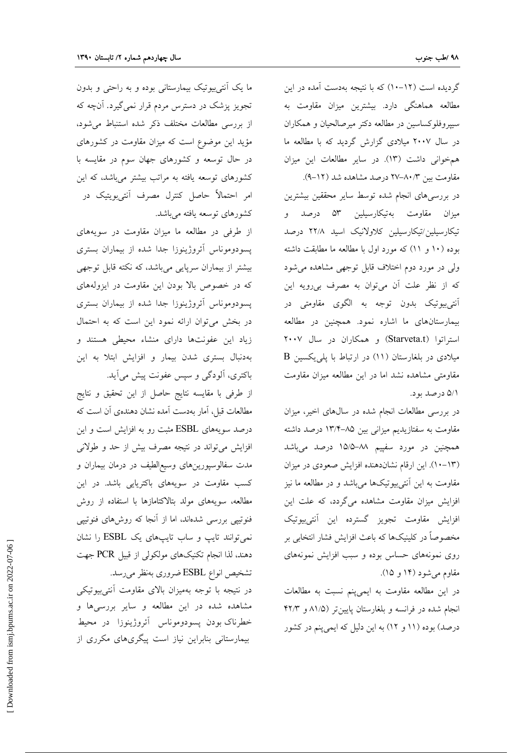گردیده است (۱۲–۱۰) که با نتیجه بهدست آمده در این مطالعه هماهنگی دارد. بیشترین میزان مقاومت به سیپروفلوکساسین در مطالعه دکتر میرصالحیان و همکاران در سال ۲۰۰۷ میلادی گزارش گردید که با مطالعه ما همخوانی داشت (١٣). در ساير مطالعات اين ميزان مقاومت بین ۸۰/۳–۲۷ درصد مشاهده شد (۱۲–۹).

در بررسیهای انجام شده توسط سایر محققین بیشترین میزان مقاومت بهتیکارسیلین ۵۳ درصد و تیکارسیلین/تیکارسیلین کلاولانیک اسید ۲۲/۸ درصد بوده (١٠ و ١١) كه مورد اول با مطالعه ما مطابقت داشته ولی در مورد دوم اختلاف قابل توجهی مشاهده می شود که از نظر علت آن میتوان به مصرف بی رویه این آنت<sub>ی</sub>بیوتیک بدون توجه به الگوی مقاومت<sub>ی</sub> در بیمارستانهای ما اشاره نمود. همچنین در مطالعه استراتوا (Starveta.t) و همكاران در سال ٢٠٠٧ B میلادی در بلغارستان (۱۱) در ارتباط با یلی یکسین مقاومتی مشاهده نشد اما در این مطالعه میزان مقاومت ۵/۱ درصد بود.

در بررسی مطالعات انجام شده در سالهای اخیر، میزان مقاومت به سفتازیدیم میزانی بین ۸۵–۱۳/۴ درصد داشته همچنین در مورد سفپیم ۸۸–۱۵/۵ درصد میباشد (١٣-١٠). اين ارقام نشاندهنده افزايش صعودي در ميزان مقاومت به این آنتیبیوتیکها میباشد و در مطالعه ما نیز افزایش میزان مقاومت مشاهده میگردد، که علت این افزايش مقاومت تجويز گسترده اين آنتي,بيوتيک مخصوصاً در کلینیکها که باعث افزایش فشار انتخابی بر روی نمونههای حساس بوده و سبب افزایش نمونههای مقاوم می شود (۱۴ و ۱۵).

در این مطالعه مقاومت به ایمی پنم نسبت به مطالعات انجام شده در فرانسه و بلغارستان پایینتر (۸۱/۵ و ۴۲/۳ درصد) بوده (۱۱ و ۱۲) به این دلیل که ایمی پنم در کشور

ما یک آنتیبیوتیک بیمارستانی بوده و به راحتی و بدون تجویز پزشک در دسترس مردم قرار نمی گیرد. آنچه که از بررسی مطالعات مختلف ذکر شده استنباط می شود، مؤید این موضوع است که میزان مقاومت در کشورهای در حال توسعه و کشورهای جهان سوم در مقایسه با کشورهای توسعه یافته به مراتب بیشتر میباشد، که این امر احتمالاً حاصل کنترل مصرف آنتیبویتیک در كشورهاي توسعه يافته ميباشد.

از طرفی در مطالعه ما میزان مقاومت در سویههای پسودوموناس آئروژینوزا جدا شده از بیماران بستری بیشتر از بیماران سرپایی میباشد، که نکته قابل توجهی که در خصوص بالا بودن این مقاومت در ایزولههای پسودوموناس أئروژينوزا جدا شده از بيماران بسترى در بخش می توان ارائه نمود این است که به احتمال زیاد این عفونتها دارای منشاء محیطی هستند و بهدنبال بستری شدن بیمار و افزایش ابتلا به این باکتری، آلودگی و سپس عفونت پیش می آید.

از طرفي با مقايسه نتايج حاصل از اين تحقيق و نتايج مطالعات قبل، آمار بهدست آمده نشان دهندهی آن است که درصد سویههای ESBL مثبت رو به افزایش است و این افزایش می تواند در نتیجه مصرف بیش از حد و طولانی مدت سفالوسپورینهای وسیع|لطیف در درمان بیماران و کسب مقاومت در سویههای باکتریایی باشد. در این مطالعه، سویههای مولد بتالاکتامازها با استفاده از روش فنوتیپی بررسی شدهاند، اما از آنجا که روشهای فنوتیپی نمی توانند تایپ و ساب تایپهای یک ESBL را نشان دهند، لذا انجام تکنیکهای مولکولی از قبیل PCR جهت تشخیص انواع ESBL ضروری بهنظر میرسد.

در نتیجه با توجه بهمیزان بالای مقاومت آنتیبیوتیکی مشاهده شده در این مطالعه و سایر بررسیها و خطرناک بودن پسودوموناس آئروژینوزا در محیط بیمارستانی بنابراین نیاز است پیگریهای مکرری از